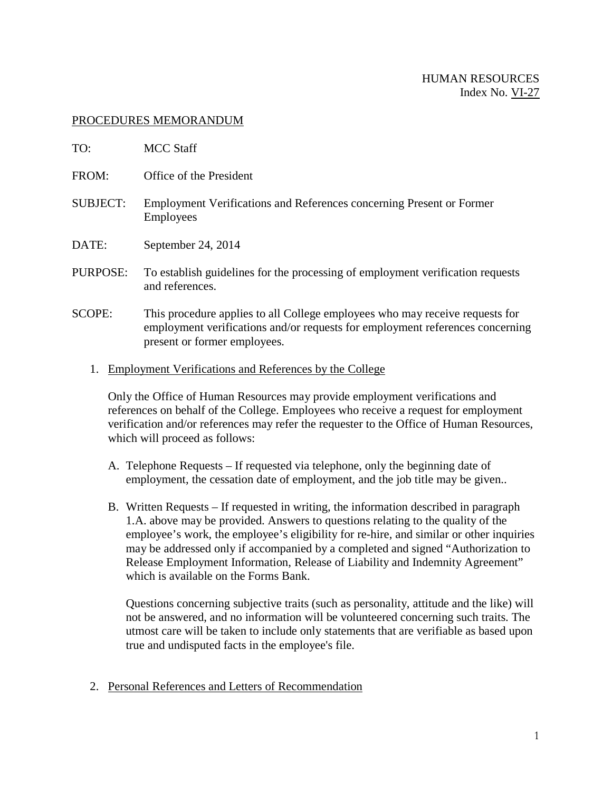## HUMAN RESOURCES Index No. VI-27

## PROCEDURES MEMORANDUM

| TO:             | <b>MCC Staff</b>                                                                                                                                                                              |
|-----------------|-----------------------------------------------------------------------------------------------------------------------------------------------------------------------------------------------|
| FROM:           | Office of the President                                                                                                                                                                       |
| <b>SUBJECT:</b> | Employment Verifications and References concerning Present or Former<br><b>Employees</b>                                                                                                      |
| DATE:           | September 24, 2014                                                                                                                                                                            |
| PURPOSE:        | To establish guidelines for the processing of employment verification requests<br>and references.                                                                                             |
| <b>SCOPE:</b>   | This procedure applies to all College employees who may receive requests for<br>employment verifications and/or requests for employment references concerning<br>present or former employees. |

1. Employment Verifications and References by the College

Only the Office of Human Resources may provide employment verifications and references on behalf of the College. Employees who receive a request for employment verification and/or references may refer the requester to the Office of Human Resources, which will proceed as follows:

- A. Telephone Requests If requested via telephone, only the beginning date of employment, the cessation date of employment, and the job title may be given..
- B. Written Requests If requested in writing, the information described in paragraph 1.A. above may be provided. Answers to questions relating to the quality of the employee's work, the employee's eligibility for re-hire, and similar or other inquiries may be addressed only if accompanied by a completed and signed "Authorization to Release Employment Information, Release of Liability and Indemnity Agreement" which is available on the Forms Bank.

Questions concerning subjective traits (such as personality, attitude and the like) will not be answered, and no information will be volunteered concerning such traits. The utmost care will be taken to include only statements that are verifiable as based upon true and undisputed facts in the employee's file.

2. Personal References and Letters of Recommendation